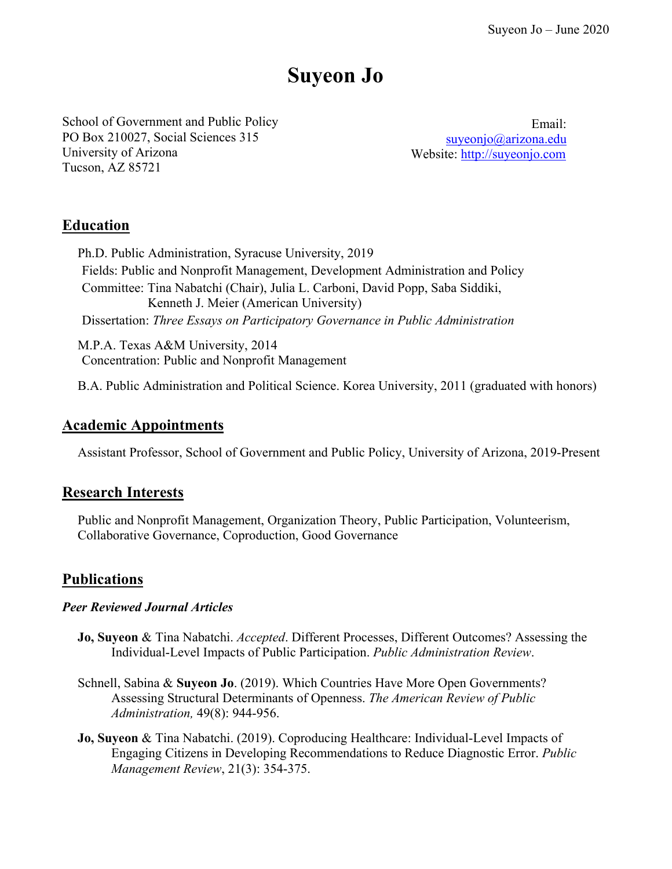# **Suyeon Jo**

School of Government and Public Policy PO Box 210027, Social Sciences 315 University of Arizona Tucson, AZ 85721

Email: [suyeonjo@arizona.edu](mailto:suyeonjo@arizona.edu) Website: [http://suyeonjo.com](http://suyeonjo.com/)

### **Education**

Ph.D. Public Administration, Syracuse University, 2019 Fields: Public and Nonprofit Management, Development Administration and Policy Committee: Tina Nabatchi (Chair), Julia L. Carboni, David Popp, Saba Siddiki, Kenneth J. Meier (American University) Dissertation: *Three Essays on Participatory Governance in Public Administration*

M.P.A. Texas A&M University, 2014 Concentration: Public and Nonprofit Management

B.A. Public Administration and Political Science. Korea University, 2011 (graduated with honors)

### **Academic Appointments**

Assistant Professor, School of Government and Public Policy, University of Arizona, 2019-Present

### **Research Interests**

Public and Nonprofit Management, Organization Theory, Public Participation, Volunteerism, Collaborative Governance, Coproduction, Good Governance

### **Publications**

### *Peer Reviewed Journal Articles*

- **Jo, Suyeon** & Tina Nabatchi. *Accepted*. Different Processes, Different Outcomes? Assessing the Individual-Level Impacts of Public Participation. *Public Administration Review*.
- Schnell, Sabina & **Suyeon Jo**. (2019). Which Countries Have More Open Governments? Assessing Structural Determinants of Openness. *The American Review of Public Administration,* 49(8): 944-956.
- **Jo, Suyeon** & Tina Nabatchi. (2019). Coproducing Healthcare: Individual-Level Impacts of Engaging Citizens in Developing Recommendations to Reduce Diagnostic Error. *Public Management Review*, 21(3): 354-375.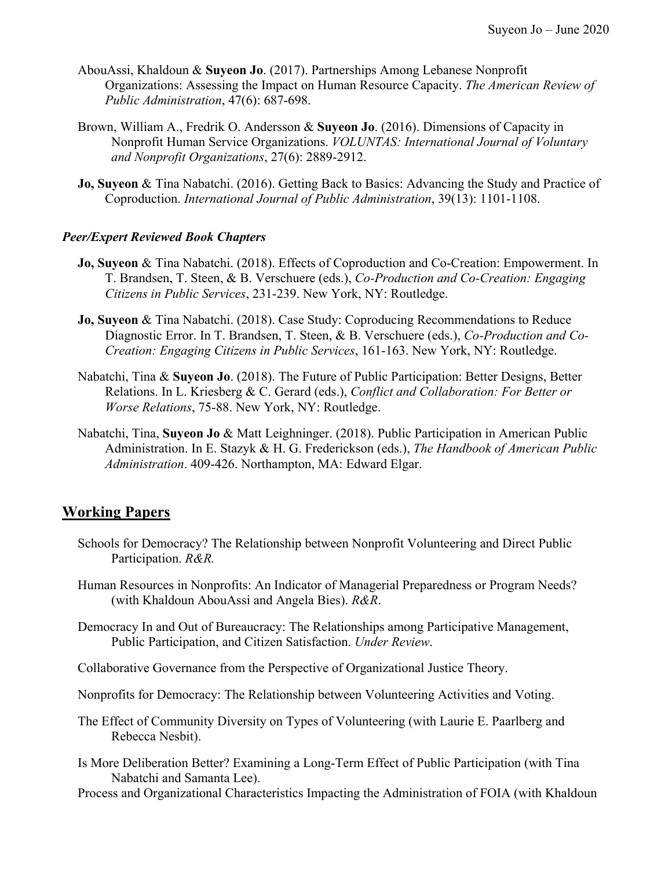- AbouAssi, Khaldoun & **Suyeon Jo**. (2017). Partnerships Among Lebanese Nonprofit Organizations: Assessing the Impact on Human Resource Capacity. *The American Review of Public Administration*, 47(6): 687-698.
- Brown, William A., Fredrik O. Andersson & **Suyeon Jo**. (2016). Dimensions of Capacity in Nonprofit Human Service Organizations. *VOLUNTAS: International Journal of Voluntary and Nonprofit Organizations*, 27(6): 2889-2912.
- **Jo, Suyeon** & Tina Nabatchi. (2016). Getting Back to Basics: Advancing the Study and Practice of Coproduction. *International Journal of Public Administration*, 39(13): 1101-1108.

### *Peer/Expert Reviewed Book Chapters*

- **Jo, Suyeon** & Tina Nabatchi. (2018). Effects of Coproduction and Co-Creation: Empowerment. In T. Brandsen, T. Steen, & B. Verschuere (eds.), *Co-Production and Co-Creation: Engaging Citizens in Public Services*, 231-239. New York, NY: Routledge.
- **Jo, Suyeon** & Tina Nabatchi. (2018). Case Study: Coproducing Recommendations to Reduce Diagnostic Error. In T. Brandsen, T. Steen, & B. Verschuere (eds.), *Co-Production and Co-Creation: Engaging Citizens in Public Services*, 161-163. New York, NY: Routledge.
- Nabatchi, Tina & **Suyeon Jo**. (2018). The Future of Public Participation: Better Designs, Better Relations. In L. Kriesberg & C. Gerard (eds.), *Conflict and Collaboration: For Better or Worse Relations*, 75-88. New York, NY: Routledge.
- Nabatchi, Tina, **Suyeon Jo** & Matt Leighninger. (2018). Public Participation in American Public Administration. In E. Stazyk & H. G. Frederickson (eds.), *The Handbook of American Public Administration*. 409-426. Northampton, MA: Edward Elgar.

### **Working Papers**

- Schools for Democracy? The Relationship between Nonprofit Volunteering and Direct Public Participation. *R&R.*
- Human Resources in Nonprofits: An Indicator of Managerial Preparedness or Program Needs? (with Khaldoun AbouAssi and Angela Bies). *R&R*.
- Democracy In and Out of Bureaucracy: The Relationships among Participative Management, Public Participation, and Citizen Satisfaction. *Under Review*.
- Collaborative Governance from the Perspective of Organizational Justice Theory.
- Nonprofits for Democracy: The Relationship between Volunteering Activities and Voting.
- The Effect of Community Diversity on Types of Volunteering (with Laurie E. Paarlberg and Rebecca Nesbit).
- Is More Deliberation Better? Examining a Long-Term Effect of Public Participation (with Tina Nabatchi and Samanta Lee).

Process and Organizational Characteristics Impacting the Administration of FOIA (with Khaldoun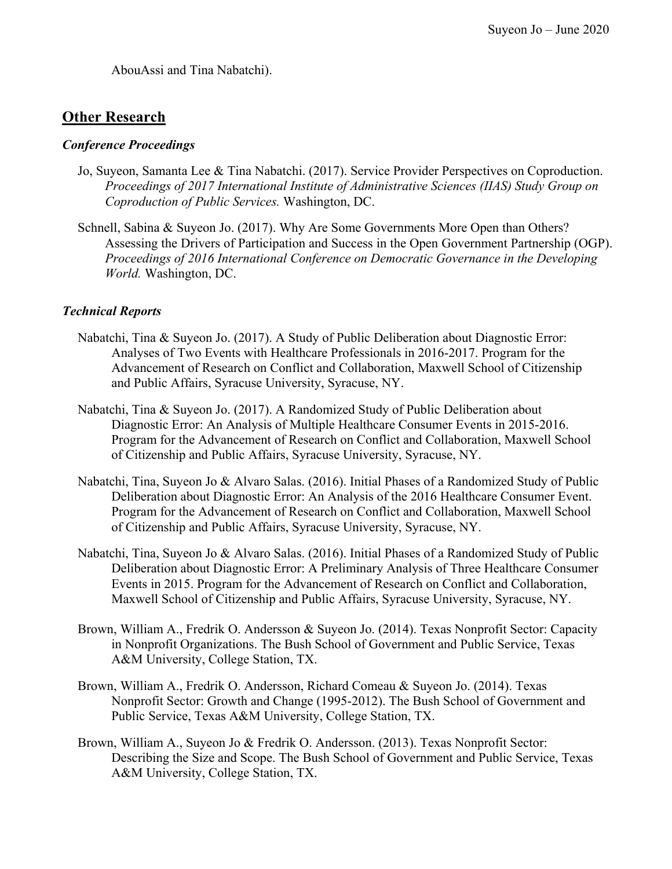AbouAssi and Tina Nabatchi).

### **Other Research**

### *Conference Proceedings*

- Jo, Suyeon, Samanta Lee & Tina Nabatchi. (2017). Service Provider Perspectives on Coproduction. *Proceedings of 2017 International Institute of Administrative Sciences (IIAS) Study Group on Coproduction of Public Services.* Washington, DC.
- Schnell, Sabina & Suyeon Jo. (2017). Why Are Some Governments More Open than Others? Assessing the Drivers of Participation and Success in the Open Government Partnership (OGP). *Proceedings of 2016 International Conference on Democratic Governance in the Developing World.* Washington, DC.

### *Technical Reports*

- Nabatchi, Tina & Suyeon Jo. (2017). A Study of Public Deliberation about Diagnostic Error: Analyses of Two Events with Healthcare Professionals in 2016-2017. Program for the Advancement of Research on Conflict and Collaboration, Maxwell School of Citizenship and Public Affairs, Syracuse University, Syracuse, NY.
- Nabatchi, Tina & Suyeon Jo. (2017). A Randomized Study of Public Deliberation about Diagnostic Error: An Analysis of Multiple Healthcare Consumer Events in 2015-2016. Program for the Advancement of Research on Conflict and Collaboration, Maxwell School of Citizenship and Public Affairs, Syracuse University, Syracuse, NY.
- Nabatchi, Tina, Suyeon Jo & Alvaro Salas. (2016). Initial Phases of a Randomized Study of Public Deliberation about Diagnostic Error: An Analysis of the 2016 Healthcare Consumer Event. Program for the Advancement of Research on Conflict and Collaboration, Maxwell School of Citizenship and Public Affairs, Syracuse University, Syracuse, NY.
- Nabatchi, Tina, Suyeon Jo & Alvaro Salas. (2016). Initial Phases of a Randomized Study of Public Deliberation about Diagnostic Error: A Preliminary Analysis of Three Healthcare Consumer Events in 2015. Program for the Advancement of Research on Conflict and Collaboration, Maxwell School of Citizenship and Public Affairs, Syracuse University, Syracuse, NY.
- Brown, William A., Fredrik O. Andersson & Suyeon Jo. (2014). Texas Nonprofit Sector: Capacity in Nonprofit Organizations. The Bush School of Government and Public Service, Texas A&M University, College Station, TX.
- Brown, William A., Fredrik O. Andersson, Richard Comeau & Suyeon Jo. (2014). Texas Nonprofit Sector: Growth and Change (1995-2012). The Bush School of Government and Public Service, Texas A&M University, College Station, TX.
- Brown, William A., Suyeon Jo & Fredrik O. Andersson. (2013). Texas Nonprofit Sector: Describing the Size and Scope. The Bush School of Government and Public Service, Texas A&M University, College Station, TX.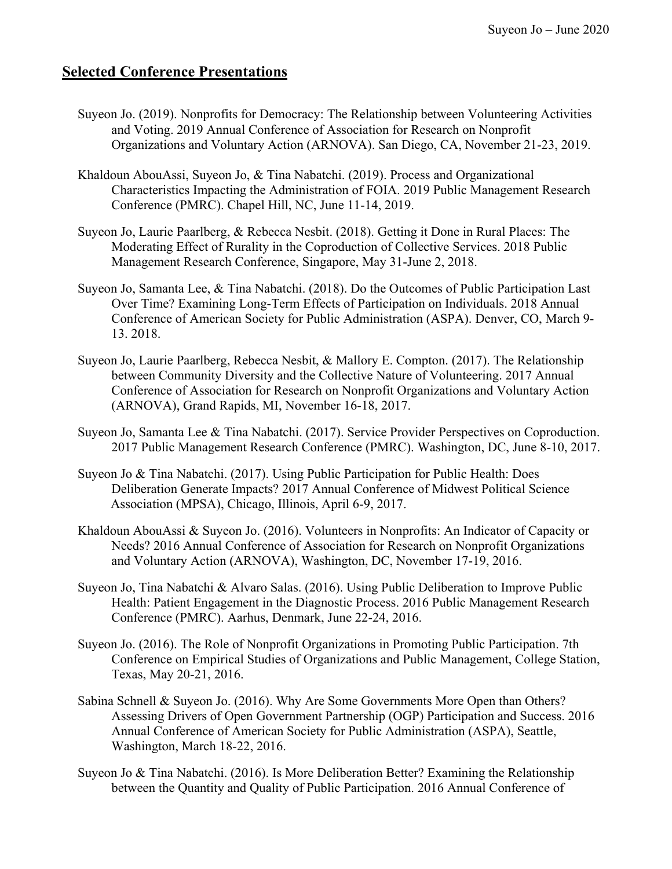### **Selected Conference Presentations**

- Suyeon Jo. (2019). Nonprofits for Democracy: The Relationship between Volunteering Activities and Voting. 2019 Annual Conference of Association for Research on Nonprofit Organizations and Voluntary Action (ARNOVA). San Diego, CA, November 21-23, 2019.
- Khaldoun AbouAssi, Suyeon Jo, & Tina Nabatchi. (2019). Process and Organizational Characteristics Impacting the Administration of FOIA. 2019 Public Management Research Conference (PMRC). Chapel Hill, NC, June 11-14, 2019.
- Suyeon Jo, Laurie Paarlberg, & Rebecca Nesbit. (2018). Getting it Done in Rural Places: The Moderating Effect of Rurality in the Coproduction of Collective Services. 2018 Public Management Research Conference, Singapore, May 31-June 2, 2018.
- Suyeon Jo, Samanta Lee, & Tina Nabatchi. (2018). Do the Outcomes of Public Participation Last Over Time? Examining Long-Term Effects of Participation on Individuals. 2018 Annual Conference of American Society for Public Administration (ASPA). Denver, CO, March 9- 13. 2018.
- Suyeon Jo, Laurie Paarlberg, Rebecca Nesbit, & Mallory E. Compton. (2017). The Relationship between Community Diversity and the Collective Nature of Volunteering. 2017 Annual Conference of Association for Research on Nonprofit Organizations and Voluntary Action (ARNOVA), Grand Rapids, MI, November 16-18, 2017.
- Suyeon Jo, Samanta Lee & Tina Nabatchi. (2017). Service Provider Perspectives on Coproduction. 2017 Public Management Research Conference (PMRC). Washington, DC, June 8-10, 2017.
- Suyeon Jo & Tina Nabatchi. (2017). Using Public Participation for Public Health: Does Deliberation Generate Impacts? 2017 Annual Conference of Midwest Political Science Association (MPSA), Chicago, Illinois, April 6-9, 2017.
- Khaldoun AbouAssi & Suyeon Jo. (2016). Volunteers in Nonprofits: An Indicator of Capacity or Needs? 2016 Annual Conference of Association for Research on Nonprofit Organizations and Voluntary Action (ARNOVA), Washington, DC, November 17-19, 2016.
- Suyeon Jo, Tina Nabatchi & Alvaro Salas. (2016). Using Public Deliberation to Improve Public Health: Patient Engagement in the Diagnostic Process. 2016 Public Management Research Conference (PMRC). Aarhus, Denmark, June 22-24, 2016.
- Suyeon Jo. (2016). The Role of Nonprofit Organizations in Promoting Public Participation. 7th Conference on Empirical Studies of Organizations and Public Management, College Station, Texas, May 20-21, 2016.
- Sabina Schnell & Suyeon Jo. (2016). Why Are Some Governments More Open than Others? Assessing Drivers of Open Government Partnership (OGP) Participation and Success. 2016 Annual Conference of American Society for Public Administration (ASPA), Seattle, Washington, March 18-22, 2016.
- Suyeon Jo & Tina Nabatchi. (2016). Is More Deliberation Better? Examining the Relationship between the Quantity and Quality of Public Participation. 2016 Annual Conference of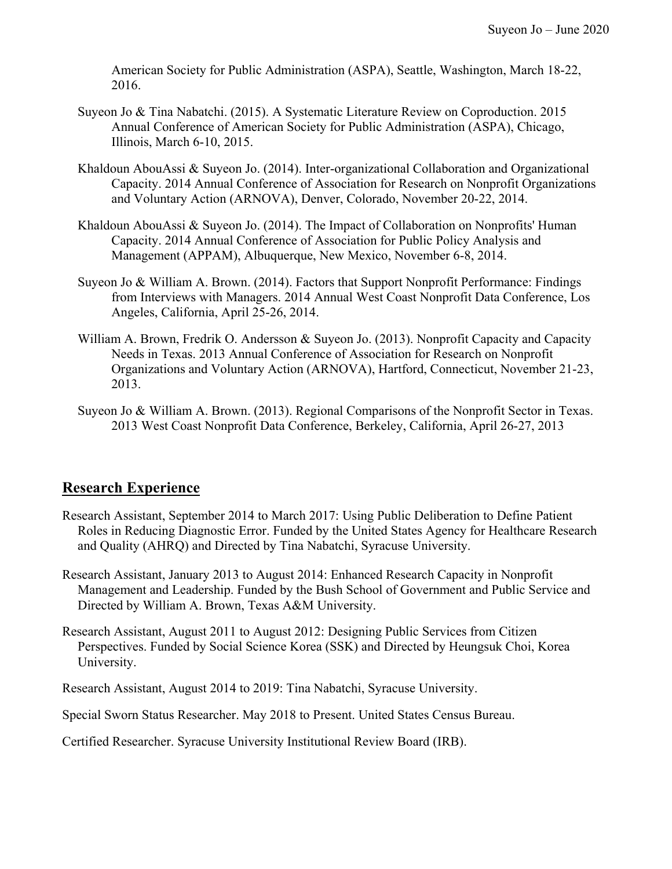American Society for Public Administration (ASPA), Seattle, Washington, March 18-22, 2016.

- Suyeon Jo & Tina Nabatchi. (2015). A Systematic Literature Review on Coproduction. 2015 Annual Conference of American Society for Public Administration (ASPA), Chicago, Illinois, March 6-10, 2015.
- Khaldoun AbouAssi & Suyeon Jo. (2014). Inter-organizational Collaboration and Organizational Capacity. 2014 Annual Conference of Association for Research on Nonprofit Organizations and Voluntary Action (ARNOVA), Denver, Colorado, November 20-22, 2014.
- Khaldoun AbouAssi & Suyeon Jo. (2014). The Impact of Collaboration on Nonprofits' Human Capacity. 2014 Annual Conference of Association for Public Policy Analysis and Management (APPAM), Albuquerque, New Mexico, November 6-8, 2014.
- Suyeon Jo & William A. Brown. (2014). Factors that Support Nonprofit Performance: Findings from Interviews with Managers. 2014 Annual West Coast Nonprofit Data Conference, Los Angeles, California, April 25-26, 2014.
- William A. Brown, Fredrik O. Andersson & Suyeon Jo. (2013). Nonprofit Capacity and Capacity Needs in Texas. 2013 Annual Conference of Association for Research on Nonprofit Organizations and Voluntary Action (ARNOVA), Hartford, Connecticut, November 21-23, 2013.
- Suyeon Jo & William A. Brown. (2013). Regional Comparisons of the Nonprofit Sector in Texas. 2013 West Coast Nonprofit Data Conference, Berkeley, California, April 26-27, 2013

# **Research Experience**

- Research Assistant, September 2014 to March 2017: Using Public Deliberation to Define Patient Roles in Reducing Diagnostic Error. Funded by the United States Agency for Healthcare Research and Quality (AHRQ) and Directed by Tina Nabatchi, Syracuse University.
- Research Assistant, January 2013 to August 2014: Enhanced Research Capacity in Nonprofit Management and Leadership. Funded by the Bush School of Government and Public Service and Directed by William A. Brown, Texas A&M University.
- Research Assistant, August 2011 to August 2012: Designing Public Services from Citizen Perspectives. Funded by Social Science Korea (SSK) and Directed by Heungsuk Choi, Korea University.

Research Assistant, August 2014 to 2019: Tina Nabatchi, Syracuse University.

Special Sworn Status Researcher. May 2018 to Present. United States Census Bureau.

Certified Researcher. Syracuse University Institutional Review Board (IRB).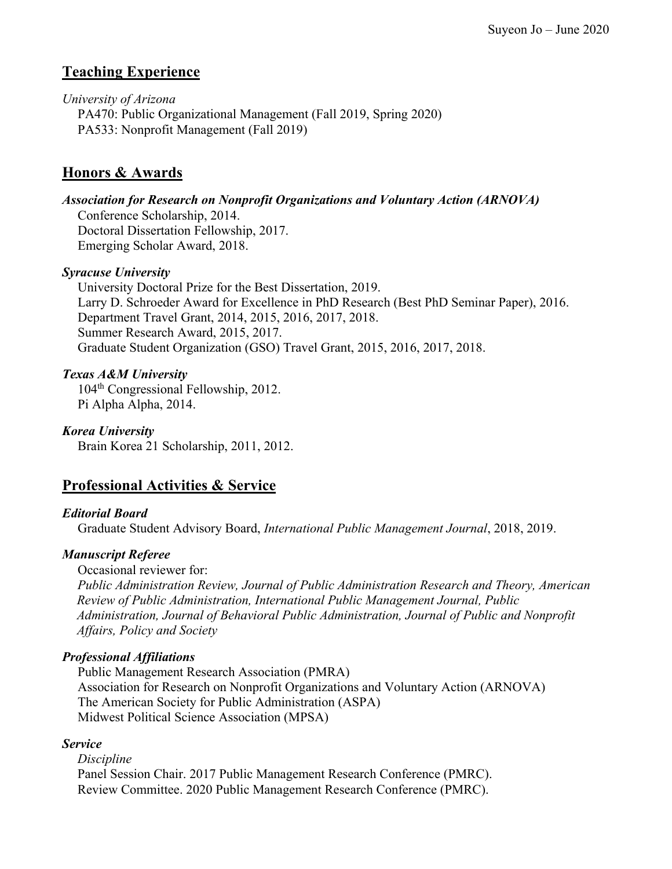# **Teaching Experience**

*University of Arizona*  PA470: Public Organizational Management (Fall 2019, Spring 2020) PA533: Nonprofit Management (Fall 2019)

### **Honors & Awards**

*Association for Research on Nonprofit Organizations and Voluntary Action (ARNOVA)*

Conference Scholarship, 2014. Doctoral Dissertation Fellowship, 2017. Emerging Scholar Award, 2018.

### *Syracuse University*

University Doctoral Prize for the Best Dissertation, 2019. Larry D. Schroeder Award for Excellence in PhD Research (Best PhD Seminar Paper), 2016. Department Travel Grant, 2014, 2015, 2016, 2017, 2018. Summer Research Award, 2015, 2017. Graduate Student Organization (GSO) Travel Grant, 2015, 2016, 2017, 2018.

### *Texas A&M University*

104th Congressional Fellowship, 2012. Pi Alpha Alpha, 2014.

*Korea University* Brain Korea 21 Scholarship, 2011, 2012.

# **Professional Activities & Service**

### *Editorial Board*

Graduate Student Advisory Board, *International Public Management Journal*, 2018, 2019.

### *Manuscript Referee*

Occasional reviewer for:

*Public Administration Review, Journal of Public Administration Research and Theory, American Review of Public Administration, International Public Management Journal, Public Administration, Journal of Behavioral Public Administration, Journal of Public and Nonprofit Affairs, Policy and Society* 

### *Professional Affiliations*

Public Management Research Association (PMRA) Association for Research on Nonprofit Organizations and Voluntary Action (ARNOVA) The American Society for Public Administration (ASPA) Midwest Political Science Association (MPSA)

### *Service*

*Discipline* Panel Session Chair. 2017 Public Management Research Conference (PMRC). Review Committee. 2020 Public Management Research Conference (PMRC).